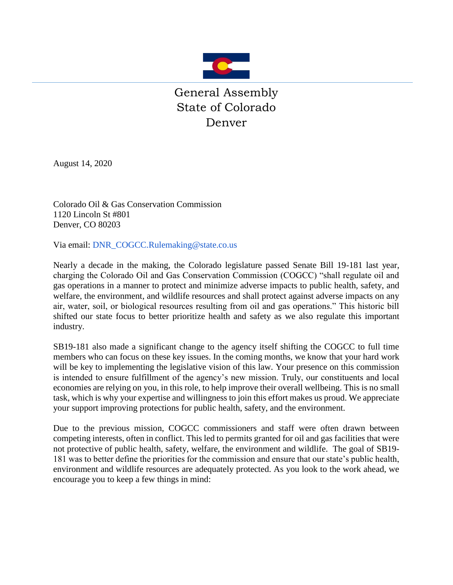

August 14, 2020

Colorado Oil & Gas Conservation Commission 1120 Lincoln St #801 Denver, CO 80203

Via email: [DNR\\_COGCC.Rulemaking@state.co.us](mailto:DNR_COGCC.Rulemaking@state.co.us)

Nearly a decade in the making, the Colorado legislature passed Senate Bill 19-181 last year, charging the Colorado Oil and Gas Conservation Commission (COGCC) "shall regulate oil and gas operations in a manner to protect and minimize adverse impacts to public health, safety, and welfare, the environment, and wildlife resources and shall protect against adverse impacts on any air, water, soil, or biological resources resulting from oil and gas operations." This historic bill shifted our state focus to better prioritize health and safety as we also regulate this important industry.

SB19-181 also made a significant change to the agency itself shifting the COGCC to full time members who can focus on these key issues. In the coming months, we know that your hard work will be key to implementing the legislative vision of this law. Your presence on this commission is intended to ensure fulfillment of the agency's new mission. Truly, our constituents and local economies are relying on you, in this role, to help improve their overall wellbeing. This is no small task, which is why your expertise and willingness to join this effort makes us proud. We appreciate your support improving protections for public health, safety, and the environment.

Due to the previous mission, COGCC commissioners and staff were often drawn between competing interests, often in conflict. This led to permits granted for oil and gas facilities that were not protective of public health, safety, welfare, the environment and wildlife. The goal of SB19- 181 was to better define the priorities for the commission and ensure that our state's public health, environment and wildlife resources are adequately protected. As you look to the work ahead, we encourage you to keep a few things in mind: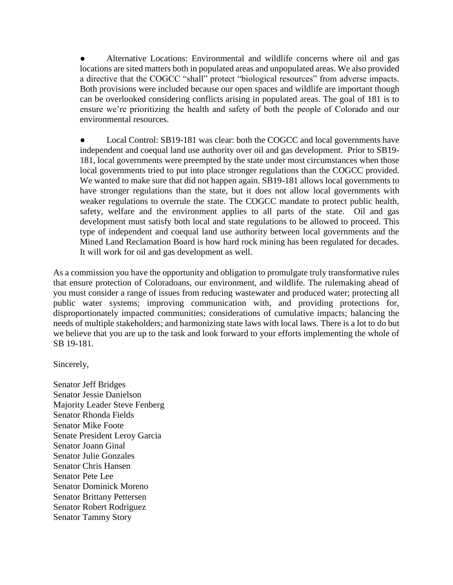Alternative Locations: Environmental and wildlife concerns where oil and gas locations are sited matters both in populated areas and unpopulated areas. We also provided a directive that the COGCC "shall" protect "biological resources" from adverse impacts. Both provisions were included because our open spaces and wildlife are important though can be overlooked considering conflicts arising in populated areas. The goal of 181 is to ensure we're prioritizing the health and safety of both the people of Colorado and our environmental resources.

Local Control: SB19-181 was clear: both the COGCC and local governments have independent and coequal land use authority over oil and gas development. Prior to SB19- 181, local governments were preempted by the state under most circumstances when those local governments tried to put into place stronger regulations than the COGCC provided. We wanted to make sure that did not happen again. SB19-181 allows local governments to have stronger regulations than the state, but it does not allow local governments with weaker regulations to overrule the state. The COGCC mandate to protect public health, safety, welfare and the environment applies to all parts of the state. Oil and gas development must satisfy both local and state regulations to be allowed to proceed. This type of independent and coequal land use authority between local governments and the Mined Land Reclamation Board is how hard rock mining has been regulated for decades. It will work for oil and gas development as well.

As a commission you have the opportunity and obligation to promulgate truly transformative rules that ensure protection of Coloradoans, our environment, and wildlife. The rulemaking ahead of you must consider a range of issues from reducing wastewater and produced water; protecting all public water systems; improving communication with, and providing protections for, disproportionately impacted communities; considerations of cumulative impacts; balancing the needs of multiple stakeholders; and harmonizing state laws with local laws. There is a lot to do but we believe that you are up to the task and look forward to your efforts implementing the whole of SB 19-181.

Sincerely,

Senator Jeff Bridges Senator Jessie Danielson Majority Leader Steve Fenberg Senator Rhonda Fields Senator Mike Foote Senate President Leroy Garcia Senator Joann Ginal Senator Julie Gonzales Senator Chris Hansen Senator Pete Lee Senator Dominick Moreno Senator Brittany Pettersen Senator Robert Rodriguez Senator Tammy Story